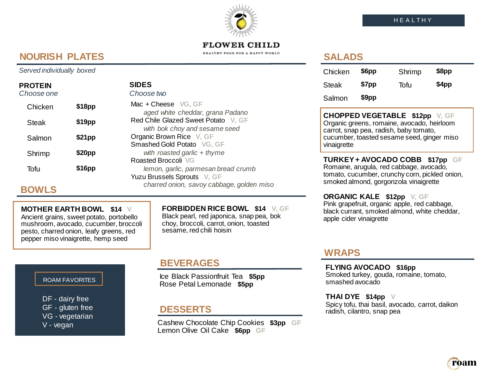**FLOWER CHILD** HEALTHY FOOD FOR A HAPPY WORLD

# **NOURISH PLATES**

#### *Served individually boxed*

## **PROTEIN**

| Choose one   |        | Choose two                                                           |
|--------------|--------|----------------------------------------------------------------------|
| Chicken      | \$18pp | Mac + Cheese VG, GF<br>aged white cheddar, grana Padano              |
| <b>Steak</b> | \$19pp | Red Chile Glazed Sweet Potato V, GF<br>with bok choy and sesame seed |
| Salmon       | \$21pp | Organic Brown Rice V, GF<br>Smashed Gold Potato VG, GF               |
| Shrimp       | \$20pp | with roasted garlic $+$ thyme<br>Roasted Broccoli VG                 |
| Tofu         | \$16pp | lemon, garlic, parmesan bread crumb<br>Yuzu Brussels Sprouts V, GF   |

**SIDES**

# **BOWLS**

### **MOTHER EARTH BOWL \$14 V**

Ancient grains, sweet potato, portobello mushroom, avocado, cucumber, broccoli pesto, charred onion, leafy greens, red pepper miso vinaigrette, hemp seed

## **FORBIDDEN RICE BOWL \$14 V, GF**

*charred onion, savoy cabbage, golden miso*

Black pearl, red japonica, snap pea, bok choy, broccoli, carrot, onion, toasted sesame, red chili hoisin

#### ROAM FAVORITES

DF - dairy free GF - gluten free VG - vegetarian V - vegan

Ice Black Passionfruit Tea **\$5pp** Rose Petal Lemonade **\$5pp** 

## **DESSERTS**

Cashew Chocolate Chip Cookies **\$3pp GF** Lemon Olive Oil Cake **\$6pp GF**

# **SALADS**

| Chicken | \$6pp | Shrimp | \$8pp |
|---------|-------|--------|-------|
| Steak   | \$7pp | Tofu   | \$4pp |
| Salmon  | \$9pp |        |       |

**CHOPPED VEGETABLE \$12pp V, GF** Organic greens, romaine, avocado, heirloom carrot, snap pea, radish, baby tomato, cucumber, toasted sesame seed, ginger miso vinaigrette

**TURKEY + AVOCADO COBB \$17pp GF** Romaine, arugula, red cabbage, avocado, tomato, cucumber, crunchy corn, pickled onion, smoked almond, gorgonzola vinaigrette

**ORGANIC KALE \$12pp V, GF** Pink grapefruit, organic apple, red cabbage, black currant, smoked almond, white cheddar, apple cider vinaigrette

## **WRAPS**

**BEVERAGES FLYING AVOCADO \$16pp** Smoked turkey, gouda, romaine, tomato, smashed avocado

> **THAI DYE \$14pp V** Spicy tofu, thai basil, avocado, carrot, daikon radish, cilantro, snap pea